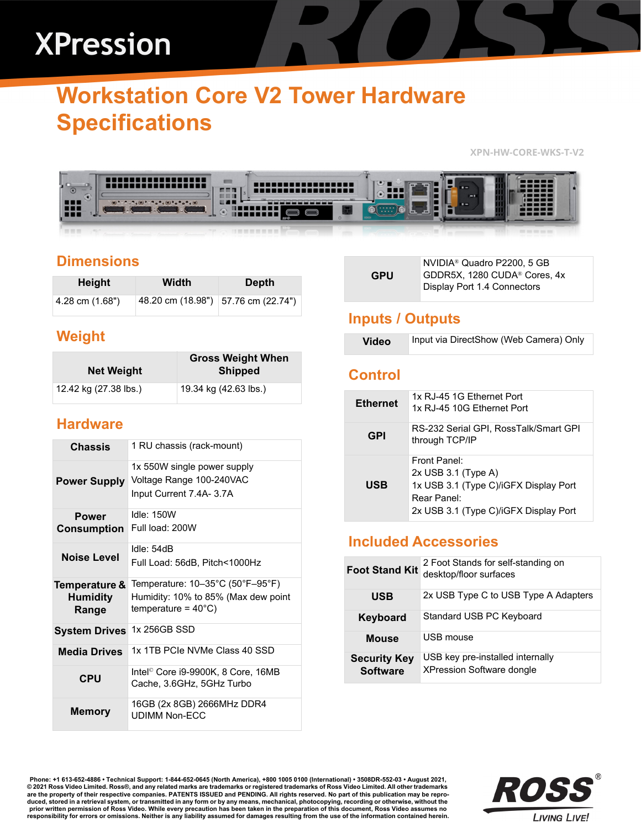# **XPression**

# **Workstation Core V2 Tower Hardware Specifications**

**XPN-HW-CORE-WKS-T-V2**



# **Dimensions**

| <b>Height</b>   | Width | <b>Depth</b>                        |
|-----------------|-------|-------------------------------------|
| 4.28 cm (1.68") |       | 48.20 cm (18.98") 57.76 cm (22.74") |

### **Weight**

| <b>Net Weight</b>     | <b>Gross Weight When</b><br><b>Shipped</b> |
|-----------------------|--------------------------------------------|
| 12.42 kg (27.38 lbs.) | 19.34 kg (42.63 lbs.)                      |

#### **Hardware**

| <b>Chassis</b>                            | 1 RU chassis (rack-mount)                                                                                                                |
|-------------------------------------------|------------------------------------------------------------------------------------------------------------------------------------------|
| <b>Power Supply</b>                       | 1x 550W single power supply<br>Voltage Range 100-240VAC<br>Input Current 7.4A- 3.7A                                                      |
| <b>Power</b><br><b>Consumption</b>        | Idle: $150W$<br>Full load: 200W                                                                                                          |
| Noise Level                               | Idle: 54dB<br>Full Load: 56dB, Pitch<1000Hz                                                                                              |
| Temperature &<br><b>Humidity</b><br>Range | Temperature: $10-35^{\circ}$ C (50 $^{\circ}$ F $-95^{\circ}$ F)<br>Humidity: 10% to 85% (Max dew point<br>temperature = $40^{\circ}$ C) |
| <b>System Drives</b>                      | 1x 256GB SSD                                                                                                                             |
| <b>Media Drives</b>                       | 1x 1TB PCIe NVMe Class 40 SSD                                                                                                            |
| <b>CPU</b>                                | Intel <sup>©</sup> Core i9-9900K, 8 Core, 16MB<br>Cache, 3.6GHz, 5GHz Turbo                                                              |
| <b>Memory</b>                             | 16GB (2x 8GB) 2666MHz DDR4<br>UDIMM Non-FCC                                                                                              |

| <b>GPU</b> | NVIDIA <sup>®</sup> Quadro P2200, 5 GB<br>GDDR5X, 1280 CUDA® Cores, 4x<br>Display Port 1.4 Connectors |
|------------|-------------------------------------------------------------------------------------------------------|
|------------|-------------------------------------------------------------------------------------------------------|

# **Inputs / Outputs**

| <b>Video</b> | Input via DirectShow (Web Camera) Only |
|--------------|----------------------------------------|
|--------------|----------------------------------------|

#### **Control**

| <b>Ethernet</b> | 1x RJ-45 1G Fthernet Port<br>1x RJ-45 10G Ethernet Port                                                                                |
|-----------------|----------------------------------------------------------------------------------------------------------------------------------------|
| <b>GPI</b>      | RS-232 Serial GPI, RossTalk/Smart GPI<br>through TCP/IP                                                                                |
| <b>USB</b>      | Front Panel:<br>$2x$ USB 3.1 (Type A)<br>1x USB 3.1 (Type C)/iGFX Display Port<br>Rear Panel:<br>2x USB 3.1 (Type C)/iGFX Display Port |

### **Included Accessories**

| <b>Foot Stand Kit</b>                  | 2 Foot Stands for self-standing on<br>desktop/floor surfaces         |
|----------------------------------------|----------------------------------------------------------------------|
| <b>USB</b>                             | 2x USB Type C to USB Type A Adapters                                 |
| Keyboard                               | Standard USB PC Keyboard                                             |
| <b>Mouse</b>                           | USB mouse                                                            |
| <b>Security Key</b><br><b>Software</b> | USB key pre-installed internally<br><b>XPression Software dongle</b> |

Phone: +1 613-652-4886 • Technical Support: 1-844-652-0645 (North America), +800 1005 0100 (International) • 3508DR-552-03 • August 2021,<br>© 2021 Ross Video Limited. Ross®, and any related marks are trademarks or registere **are the property of their respective companies. PATENTS ISSUED and PENDING. All rights reserved. No part of this publication may be repro**duced, stored in a retrieval system, or transmitted in any form or by any means, mechanical, photocopying, recording or otherwise, without the<br>prior written permission of Ross Video. While every precaution has been taken i